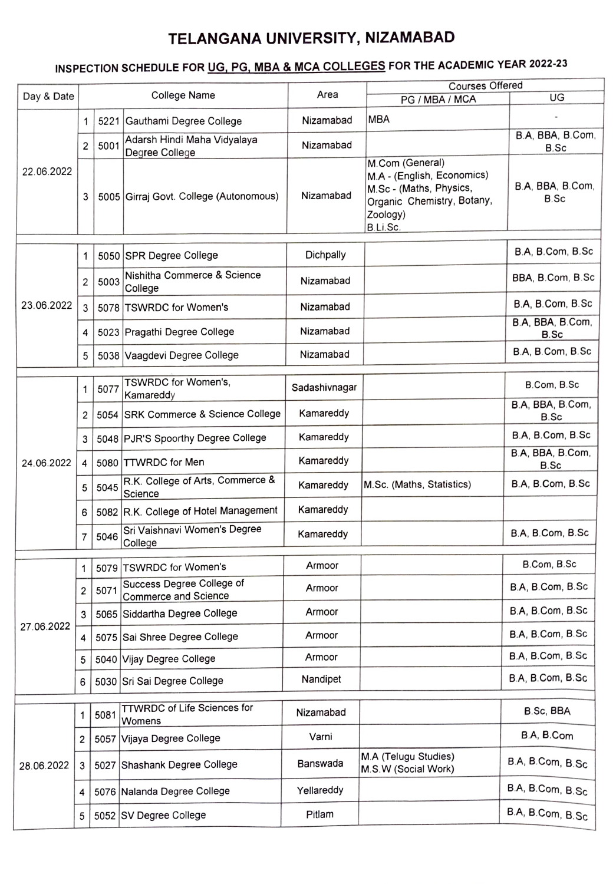## TELANGANA UNIVERSITY, NIZAMABAD

## INSPECTION SCHEDULE FOR UG, PG, MBA & MCA COLLEGES FOR THE ACADEMIC YEAR 2022-23

|            |                |      |                                                          |               | <b>Courses Offered</b>                                                                                                         |                                 |
|------------|----------------|------|----------------------------------------------------------|---------------|--------------------------------------------------------------------------------------------------------------------------------|---------------------------------|
| Day & Date |                |      | College Name                                             | Area          | PG / MBA / MCA                                                                                                                 | UG                              |
| 22.06.2022 | 1              |      | 5221 Gauthami Degree College                             | Nizamabad     | <b>MBA</b>                                                                                                                     |                                 |
|            | 2              | 5001 | Adarsh Hindi Maha Vidyalaya<br>Degree College            | Nizamabad     |                                                                                                                                | B.A, BBA, B.Com,<br>B.Sc        |
|            | 3              |      | 5005 Girraj Govt. College (Autonomous)                   | Nizamabad     | M.Com (General)<br>M.A - (English, Economics)<br>M.Sc - (Maths, Physics,<br>Organic Chemistry, Botany,<br>Zoology)<br>B.Li.Sc. | B.A, BBA, B.Com,<br><b>B.Sc</b> |
| 23.06.2022 | 1              |      | 5050 SPR Degree College                                  | Dichpally     |                                                                                                                                | B.A, B.Com, B.Sc                |
|            | 2              | 5003 | Nishitha Commerce & Science<br>College                   | Nizamabad     |                                                                                                                                | BBA, B.Com, B.Sc                |
|            | 3              |      | 5078 TSWRDC for Women's                                  | Nizamabad     |                                                                                                                                | B.A, B.Com, B.Sc                |
|            | 4              |      | 5023 Pragathi Degree College                             | Nizamabad     |                                                                                                                                | B.A. BBA, B.Com,<br><b>B.Sc</b> |
|            | 5              |      | 5038 Vaagdevi Degree College                             | Nizamabad     |                                                                                                                                | B.A, B.Com, B.Sc                |
| 24.06.2022 | 1              | 5077 | TSWRDC for Women's,<br>Kamareddy                         | Sadashivnagar |                                                                                                                                | B.Com, B.Sc                     |
|            | 2              |      | 5054 SRK Commerce & Science College                      | Kamareddy     |                                                                                                                                | B.A, BBA, B.Com,<br><b>B.Sc</b> |
|            | 3              |      | 5048 PJR'S Spoorthy Degree College                       | Kamareddy     |                                                                                                                                | B.A, B.Com, B.Sc                |
|            | 4              |      | 5080 TTWRDC for Men                                      | Kamareddy     |                                                                                                                                | B.A, BBA, B.Com,<br><b>B.Sc</b> |
|            | 5              | 5045 | R.K. College of Arts, Commerce &<br>Science              | Kamareddy     | M.Sc. (Maths, Statistics)                                                                                                      | B.A, B.Com, B.Sc                |
|            | 6              |      | 5082 R.K. College of Hotel Management                    | Kamareddy     |                                                                                                                                |                                 |
|            | $\overline{7}$ | 5046 | Sri Vaishnavi Women's Degree<br>College                  | Kamareddy     |                                                                                                                                | B.A, B.Com, B.Sc                |
| 27.06.2022 | 1              |      | 5079 TSWRDC for Women's                                  | Armoor        |                                                                                                                                | B.Com, B.Sc                     |
|            | 2              | 5071 | Success Degree College of<br><b>Commerce and Science</b> | Armoor        |                                                                                                                                | B.A. B.Com, B.Sc                |
|            | 3              |      | 5065 Siddartha Degree College                            | Armoor        |                                                                                                                                | B.A, B.Com, B.Sc                |
|            | 4              |      | 5075 Sai Shree Degree College                            | Armoor        |                                                                                                                                | B.A, B.Com, B.Sc                |
|            | 5              |      | 5040 Vijay Degree College                                | Armoor        |                                                                                                                                | B.A, B.Com, B.Sc                |
|            | 6              |      | 5030 Sri Sai Degree College                              | Nandipet      |                                                                                                                                | B.A, B.Com, B.Sc                |
| 28.06.2022 | 1              | 5081 | <b>TTWRDC of Life Sciences for</b><br>Womens             | Nizamabad     |                                                                                                                                | B.Sc, BBA                       |
|            | 2              |      | 5057 Vijaya Degree College                               | Varni         |                                                                                                                                | B.A, B.Com                      |
|            | 3              |      | 5027 Shashank Degree College                             | Banswada      | M.A (Telugu Studies)<br>M.S.W (Social Work)                                                                                    | B.A, B.Com, B.Sc                |
|            | 4              |      | 5076 Nalanda Degree College                              | Yellareddy    |                                                                                                                                | B.A, B.Com, B.Sc                |
|            | 5              |      | 5052 SV Degree College                                   | Pitlam        |                                                                                                                                | B.A, B.Com, B.Sc                |